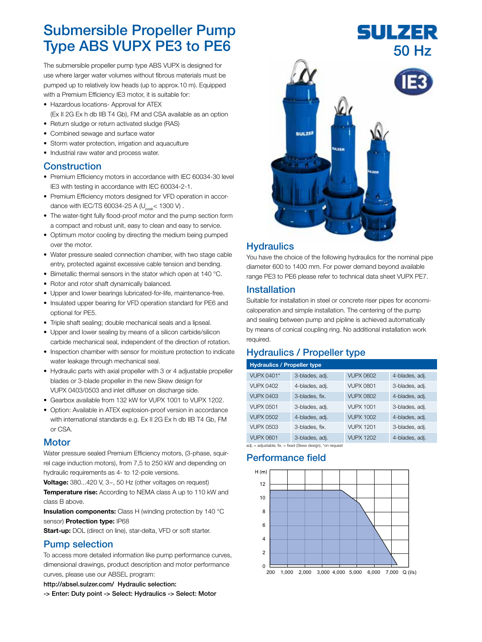# Submersible Propeller Pump Type ABS VUPX PE3 to PE6

The submersible propeller pump type ABS VUPX is designed for use where larger water volumes without fibrous materials must be pumped up to relatively low heads (up to approx.10 m). Equipped with a Premium Efficiency IE3 motor, it is suitable for:

- Hazardous locations- Approval for ATEX (Ex II 2G Ex h db IIB T4 Gb), FM and CSA available as an option
- Return sludge or return activated sludge (RAS)
- Combined sewage and surface water
- Storm water protection, irrigation and aquaculture
- Industrial raw water and process water.

### Construction

- Premium Efficiency motors in accordance with IEC 60034-30 level IE3 with testing in accordance with IEC 60034-2-1.
- Premium Efficiency motors designed for VFD operation in accordance with IEC/TS 60034-25 A ( $U_{peak}$ < 1300 V).
- The water-tight fully flood-proof motor and the pump section form a compact and robust unit, easy to clean and easy to service.
- Optimum motor cooling by directing the medium being pumped over the motor.
- Water pressure sealed connection chamber, with two stage cable entry, protected against excessive cable tension and bending.
- Bimetallic thermal sensors in the stator which open at 140 °C.
- Rotor and rotor shaft dynamically balanced.
- Upper and lower bearings lubricated-for-life, maintenance-free.
- Insulated upper bearing for VFD operation standard for PE6 and optional for PE5.
- Triple shaft sealing; double mechanical seals and a lipseal.
- Upper and lower sealing by means of a silicon carbide/silicon carbide mechanical seal, independent of the direction of rotation.
- Inspection chamber with sensor for moisture protection to indicate water leakage through mechanical seal.
- Hydraulic parts with axial propeller with 3 or 4 adjustable propeller blades or 3-blade propeller in the new Skew design for VUPX 0403/0503 and inlet diffuser on discharge side.
- Gearbox available from 132 kW for VUPX 1001 to VUPX 1202.
- Option: Available in ATEX explosion-proof version in accordance with international standards e.g. Ex II 2G Ex h db IIB T4 Gb, FM or CSA.

#### **Motor**

Water pressure sealed Premium Efficiency motors, (3-phase, squirrel cage induction motors), from 7,5 to 250 kW and depending on hydraulic requirements as 4- to 12-pole versions.

Voltage: 380...420 V, 3~, 50 Hz (other voltages on request) Temperature rise: According to NEMA class A up to 110 kW and class B above.

**Insulation components:** Class H (winding protection by 140 °C) sensor) Protection type: IP68

Start-up: DOL (direct on line), star-delta, VFD or soft starter.

### Pump selection

To access more detailed information like pump performance curves, dimensional drawings, product description and motor performance curves, please use our ABSEL program:

http://absel.sulzer.com/ Hydraulic selection:

-> Enter: Duty point -> Select: Hydraulics -> Select: Motor



SULZER

#### **Hydraulics**

You have the choice of the following hydraulics for the nominal pipe diameter 600 to 1400 mm. For power demand beyond available range PE3 to PE6 please refer to technical data sheet VUPX PE7.

#### Installation

Suitable for installation in steel or concrete riser pipes for economicaloperation and simple installation. The centering of the pump and sealing between pump and pipline is achieved automatically by means of conical coupling ring. No additional installation work required.

### Hydraulics / Propeller type

| <b>Hydraulics / Propeller type</b> |                |                  |                |  |  |
|------------------------------------|----------------|------------------|----------------|--|--|
| <b>VUPX 0401*</b>                  | 3-blades, adj. | <b>VUPX 0602</b> | 4-blades, adj. |  |  |
| VI JPX 0402                        | 4-blades, adj. | <b>VUPX 0801</b> | 3-blades, adj. |  |  |
| VI JPX 0403                        | 3-blades, fix. | VI JPX 0802      | 4-blades, adj. |  |  |
| <b>VUPX 0501</b>                   | 3-blades, adj. | <b>VUPX 1001</b> | 3-blades, adj. |  |  |
| VUPX 0502                          | 4-blades, adj. | <b>VUPX 1002</b> | 4-blades, adj. |  |  |
| <b>VUPX 0503</b>                   | 3-blades, fix. | <b>VUPX 1201</b> | 3-blades, adj. |  |  |
| VUPX 0601                          | 3-blades, adj. | <b>VUPX 1202</b> | 4-blades, adj. |  |  |
|                                    |                |                  |                |  |  |

adj.  $\equiv$  adjustable; fix.  $\equiv$  fixed (Skew design), \*on request

#### Performance field